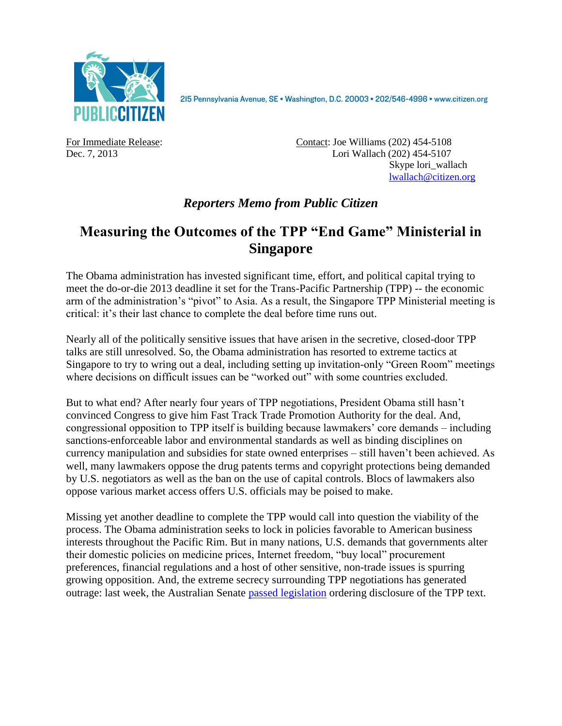

215 Pennsylvania Avenue, SE · Washington, D.C. 20003 · 202/546-4996 · www.citizen.org

For Immediate Release: Contact: Joe Williams (202) 454-5108 Dec. 7, 2013 Lori Wallach (202) 454-5107 Skype lori\_wallach [lwallach@citizen.org](mailto:lwallach@citizen.org)

## *Reporters Memo from Public Citizen*

# **Measuring the Outcomes of the TPP "End Game" Ministerial in Singapore**

The Obama administration has invested significant time, effort, and political capital trying to meet the do-or-die 2013 deadline it set for the Trans-Pacific Partnership (TPP) -- the economic arm of the administration's "pivot" to Asia. As a result, the Singapore TPP Ministerial meeting is critical: it's their last chance to complete the deal before time runs out.

Nearly all of the politically sensitive issues that have arisen in the secretive, closed-door TPP talks are still unresolved. So, the Obama administration has resorted to extreme tactics at Singapore to try to wring out a deal, including setting up invitation-only "Green Room" meetings where decisions on difficult issues can be "worked out" with some countries excluded.

But to what end? After nearly four years of TPP negotiations, President Obama still hasn't convinced Congress to give him Fast Track Trade Promotion Authority for the deal. And, congressional opposition to TPP itself is building because lawmakers' core demands – including sanctions-enforceable labor and environmental standards as well as binding disciplines on currency manipulation and subsidies for state owned enterprises – still haven't been achieved. As well, many lawmakers oppose the drug patents terms and copyright protections being demanded by U.S. negotiators as well as the ban on the use of capital controls. Blocs of lawmakers also oppose various market access offers U.S. officials may be poised to make.

Missing yet another deadline to complete the TPP would call into question the viability of the process. The Obama administration seeks to lock in policies favorable to American business interests throughout the Pacific Rim. But in many nations, U.S. demands that governments alter their domestic policies on medicine prices, Internet freedom, "buy local" procurement preferences, financial regulations and a host of other sensitive, non-trade issues is spurring growing opposition. And, the extreme secrecy surrounding TPP negotiations has generated outrage: last week, the Australian Senate [passed legislation](http://delimiter.com.au/2013/12/05/senate-force-tpp-publication/) ordering disclosure of the TPP text.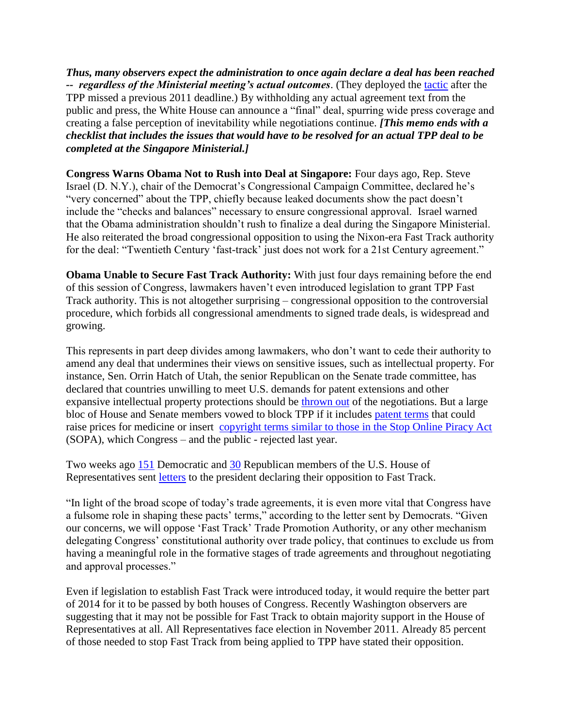*Thus, many observers expect the administration to once again declare a deal has been reached -- regardless of the Ministerial meeting's actual outcomes*. (They deployed the [tactic](http://www.ustr.gov/about-us/press-office/press-releases/2011/november/trans-pacific-partnership-leaders-statement) after the TPP missed a previous 2011 deadline.) By withholding any actual agreement text from the public and press, the White House can announce a "final" deal, spurring wide press coverage and creating a false perception of inevitability while negotiations continue. *[This memo ends with a checklist that includes the issues that would have to be resolved for an actual TPP deal to be completed at the Singapore Ministerial.]* 

**Congress Warns Obama Not to Rush into Deal at Singapore:** Four days ago, Rep. Steve Israel (D. N.Y.), chair of the Democrat's Congressional Campaign Committee, declared he's "very concerned" about the TPP, chiefly because leaked documents show the pact doesn't include the "checks and balances" necessary to ensure congressional approval. Israel warned that the Obama administration shouldn't rush to finalize a deal during the Singapore Ministerial. He also reiterated the broad congressional opposition to using the Nixon-era Fast Track authority for the deal: "Twentieth Century 'fast-track' just does not work for a 21st Century agreement."

**Obama Unable to Secure Fast Track Authority:** With just four days remaining before the end of this session of Congress, lawmakers haven't even introduced legislation to grant TPP Fast Track authority. This is not altogether surprising – congressional opposition to the controversial procedure, which forbids all congressional amendments to signed trade deals, is widespread and growing.

This represents in part deep divides among lawmakers, who don't want to cede their authority to amend any deal that undermines their views on sensitive issues, such as intellectual property. For instance, Sen. Orrin Hatch of Utah, the senior Republican on the Senate trade committee, has declared that countries unwilling to meet U.S. demands for patent extensions and other expansive intellectual property protections should be [thrown out](http://keionline.org/node/1838) of the negotiations. But a large bloc of House and Senate members vowed to block TPP if it includes [patent terms](http://keionline.org/node/1844) that could raise prices for medicine or insert [copyright terms similar to those in the Stop Online Piracy Act](http://lofgren.house.gov/latest-news/rep-zoe-lofgren-on-emerging-controversial-trans-pacific-partnership-tpp-trade-treaty/) (SOPA), which Congress – and the public - rejected last year.

Two weeks ago [151](http://delauro.house.gov/index.php?option=com_content&view=article&id=1455:delauro-miller-lead-151-house-dems-telling-president-they-will-not-support-outdated-fast-track-for-trans-pacific-partnership&Itemid=21) Democratic and [30](http://jones.house.gov/press-release/gop-house-members-oppose-fast-track-trade-promotion-authority) Republican members of the U.S. House of Representatives sent [letters](http://www.citizen.org/documents/joyce-fast-track-letter.pdf) to the president declaring their opposition to Fast Track.

"In light of the broad scope of today's trade agreements, it is even more vital that Congress have a fulsome role in shaping these pacts' terms," according to the letter sent by Democrats. "Given our concerns, we will oppose 'Fast Track' Trade Promotion Authority, or any other mechanism delegating Congress' constitutional authority over trade policy, that continues to exclude us from having a meaningful role in the formative stages of trade agreements and throughout negotiating and approval processes."

Even if legislation to establish Fast Track were introduced today, it would require the better part of 2014 for it to be passed by both houses of Congress. Recently Washington observers are suggesting that it may not be possible for Fast Track to obtain majority support in the House of Representatives at all. All Representatives face election in November 2011. Already 85 percent of those needed to stop Fast Track from being applied to TPP have stated their opposition.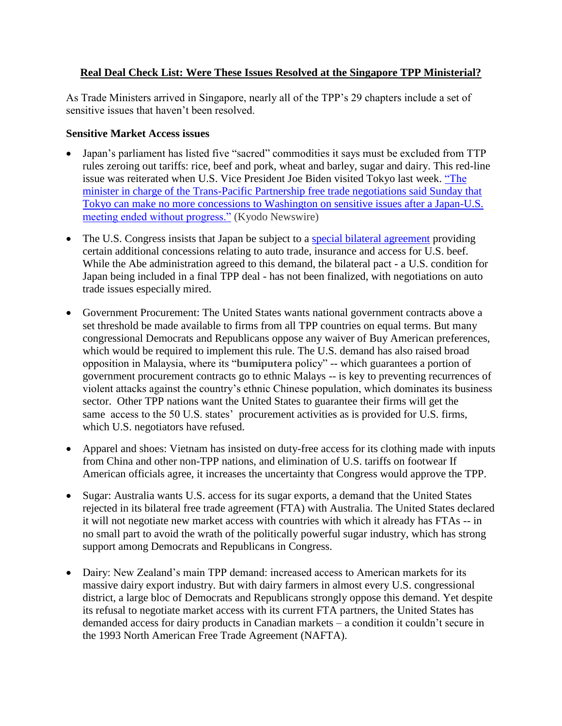#### **Real Deal Check List: Were These Issues Resolved at the Singapore TPP Ministerial?**

As Trade Ministers arrived in Singapore, nearly all of the TPP's 29 chapters include a set of sensitive issues that haven't been resolved.

#### **Sensitive Market Access issues**

- Japan's parliament has listed five "sacred" commodities it says must be excluded from TTP rules zeroing out tariffs: rice, beef and pork, wheat and barley, sugar and dairy. This red-line issue was reiterated when U.S. Vice President Joe Biden visited Tokyo last week. ["The](http://www.japantimes.co.jp/news/2013/12/01/business/japan-cant-make-further-concessions-to-u-s-in-tpp-talks-minister/?utm_source=rss&utm_medium=rss&utm_campaign=japan-cant-make-further-concessions-to-u-s-in-tpp-talks-minister)  [minister in charge of the Trans-Pacific Partnership free trade negotiations said Sunday that](http://www.japantimes.co.jp/news/2013/12/01/business/japan-cant-make-further-concessions-to-u-s-in-tpp-talks-minister/?utm_source=rss&utm_medium=rss&utm_campaign=japan-cant-make-further-concessions-to-u-s-in-tpp-talks-minister)  [Tokyo can make no more concessions to Washington on sensitive issues after a Japan-U.S.](http://www.japantimes.co.jp/news/2013/12/01/business/japan-cant-make-further-concessions-to-u-s-in-tpp-talks-minister/?utm_source=rss&utm_medium=rss&utm_campaign=japan-cant-make-further-concessions-to-u-s-in-tpp-talks-minister)  [meeting ended without progress."](http://www.japantimes.co.jp/news/2013/12/01/business/japan-cant-make-further-concessions-to-u-s-in-tpp-talks-minister/?utm_source=rss&utm_medium=rss&utm_campaign=japan-cant-make-further-concessions-to-u-s-in-tpp-talks-minister) (Kyodo Newswire)
- The U.S. Congress insists that Japan be subject to a [special bilateral agreement](http://www.law360.com/articles/482955/no-breakthrough-in-latest-us-japan-auto-talks-ustr-says) providing certain additional concessions relating to auto trade, insurance and access for U.S. beef. While the Abe administration agreed to this demand, the bilateral pact - a U.S. condition for Japan being included in a final TPP deal - has not been finalized, with negotiations on auto trade issues especially mired.
- Government Procurement: The United States wants national government contracts above a set threshold be made available to firms from all TPP countries on equal terms. But many congressional Democrats and Republicans oppose any waiver of Buy American preferences, which would be required to implement this rule. The U.S. demand has also raised broad opposition in Malaysia, where its "**bumiputera** policy" -- which guarantees a portion of government procurement contracts go to ethnic Malays -- is key to preventing recurrences of violent attacks against the country's ethnic Chinese population, which dominates its business sector. Other TPP nations want the United States to guarantee their firms will get the same access to the 50 U.S. states' procurement activities as is provided for U.S. firms, which U.S. negotiators have refused.
- Apparel and shoes: Vietnam has insisted on duty-free access for its clothing made with inputs from China and other non-TPP nations, and elimination of U.S. tariffs on footwear If American officials agree, it increases the uncertainty that Congress would approve the TPP.
- Sugar: Australia wants U.S. access for its sugar exports, a demand that the United States rejected in its bilateral free trade agreement (FTA) with Australia. The United States declared it will not negotiate new market access with countries with which it already has FTAs -- in no small part to avoid the wrath of the politically powerful sugar industry, which has strong support among Democrats and Republicans in Congress.
- Dairy: New Zealand's main TPP demand: increased access to American markets for its massive dairy export industry. But with dairy farmers in almost every U.S. congressional district, a large bloc of Democrats and Republicans strongly oppose this demand. Yet despite its refusal to negotiate market access with its current FTA partners, the United States has demanded access for dairy products in Canadian markets – a condition it couldn't secure in the 1993 North American Free Trade Agreement (NAFTA).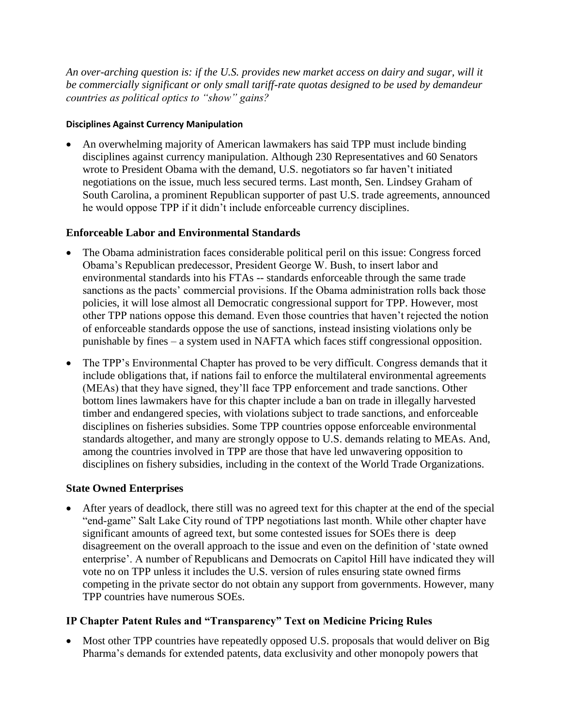*An over-arching question is: if the U.S. provides new market access on dairy and sugar, will it be commercially significant or only small tariff-rate quotas designed to be used by demandeur countries as political optics to "show" gains?*

#### **Disciplines Against Currency Manipulation**

 An overwhelming majority of American lawmakers has said TPP must include binding disciplines against currency manipulation. Although 230 Representatives and 60 Senators wrote to President Obama with the demand, U.S. negotiators so far haven't initiated negotiations on the issue, much less secured terms. Last month, Sen. Lindsey Graham of South Carolina, a prominent Republican supporter of past U.S. trade agreements, announced he would oppose TPP if it didn't include enforceable currency disciplines.

#### **Enforceable Labor and Environmental Standards**

- The Obama administration faces considerable political peril on this issue: Congress forced Obama's Republican predecessor, President George W. Bush, to insert labor and environmental standards into his FTAs -- standards enforceable through the same trade sanctions as the pacts' commercial provisions. If the Obama administration rolls back those policies, it will lose almost all Democratic congressional support for TPP. However, most other TPP nations oppose this demand. Even those countries that haven't rejected the notion of enforceable standards oppose the use of sanctions, instead insisting violations only be punishable by fines – a system used in NAFTA which faces stiff congressional opposition.
- The TPP's Environmental Chapter has proved to be very difficult. Congress demands that it include obligations that, if nations fail to enforce the multilateral environmental agreements (MEAs) that they have signed, they'll face TPP enforcement and trade sanctions. Other bottom lines lawmakers have for this chapter include a ban on trade in illegally harvested timber and endangered species, with violations subject to trade sanctions, and enforceable disciplines on fisheries subsidies. Some TPP countries oppose enforceable environmental standards altogether, and many are strongly oppose to U.S. demands relating to MEAs. And, among the countries involved in TPP are those that have led unwavering opposition to disciplines on fishery subsidies, including in the context of the World Trade Organizations.

## **State Owned Enterprises**

 After years of deadlock, there still was no agreed text for this chapter at the end of the special "end-game" Salt Lake City round of TPP negotiations last month. While other chapter have significant amounts of agreed text, but some contested issues for SOEs there is deep disagreement on the overall approach to the issue and even on the definition of 'state owned enterprise'. A number of Republicans and Democrats on Capitol Hill have indicated they will vote no on TPP unless it includes the U.S. version of rules ensuring state owned firms competing in the private sector do not obtain any support from governments. However, many TPP countries have numerous SOEs.

## **IP Chapter Patent Rules and "Transparency" Text on Medicine Pricing Rules**

 Most other TPP countries have repeatedly opposed U.S. proposals that would deliver on Big Pharma's demands for extended patents, data exclusivity and other monopoly powers that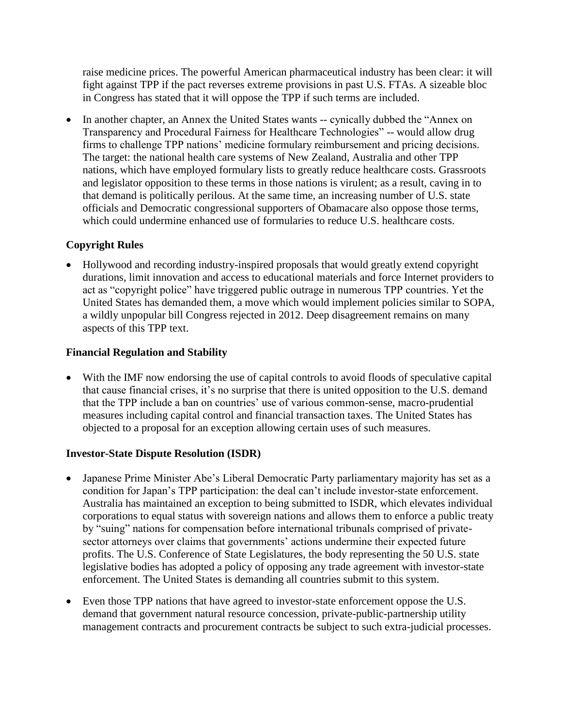raise medicine prices. The powerful American pharmaceutical industry has been clear: it will fight against TPP if the pact reverses extreme provisions in past U.S. FTAs. A sizeable bloc in Congress has stated that it will oppose the TPP if such terms are included.

• In another chapter, an Annex the United States wants -- cynically dubbed the "Annex on Transparency and Procedural Fairness for Healthcare Technologies" -- would allow drug firms to challenge TPP nations' medicine formulary reimbursement and pricing decisions. The target: the national health care systems of New Zealand, Australia and other TPP nations, which have employed formulary lists to greatly reduce healthcare costs. Grassroots and legislator opposition to these terms in those nations is virulent; as a result, caving in to that demand is politically perilous. At the same time, an increasing number of U.S. state officials and Democratic congressional supporters of Obamacare also oppose those terms, which could undermine enhanced use of formularies to reduce U.S. healthcare costs.

## **Copyright Rules**

• Hollywood and recording industry-inspired proposals that would greatly extend copyright durations, limit innovation and access to educational materials and force Internet providers to act as "copyright police" have triggered public outrage in numerous TPP countries. Yet the United States has demanded them, a move which would implement policies similar to SOPA, a wildly unpopular bill Congress rejected in 2012. Deep disagreement remains on many aspects of this TPP text.

#### **Financial Regulation and Stability**

 With the IMF now endorsing the use of capital controls to avoid floods of speculative capital that cause financial crises, it's no surprise that there is united opposition to the U.S. demand that the TPP include a ban on countries' use of various common-sense, macro-prudential measures including capital control and financial transaction taxes. The United States has objected to a proposal for an exception allowing certain uses of such measures.

## **Investor-State Dispute Resolution (ISDR)**

- Japanese Prime Minister Abe's Liberal Democratic Party parliamentary majority has set as a condition for Japan's TPP participation: the deal can't include investor-state enforcement. Australia has maintained an exception to being submitted to ISDR, which elevates individual corporations to equal status with sovereign nations and allows them to enforce a public treaty by "suing" nations for compensation before international tribunals comprised of privatesector attorneys over claims that governments' actions undermine their expected future profits. The U.S. Conference of State Legislatures, the body representing the 50 U.S. state legislative bodies has adopted a policy of opposing any trade agreement with investor-state enforcement. The United States is demanding all countries submit to this system.
- Even those TPP nations that have agreed to investor-state enforcement oppose the U.S. demand that government natural resource concession, private-public-partnership utility management contracts and procurement contracts be subject to such extra-judicial processes.